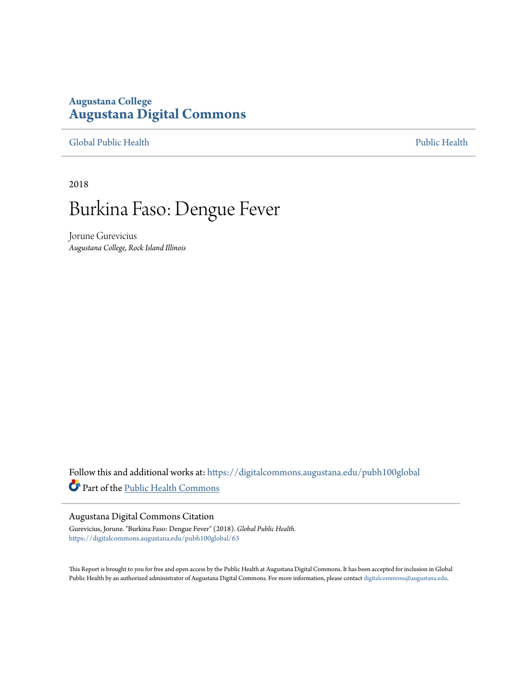#### **Augustana College [Augustana Digital Commons](https://digitalcommons.augustana.edu?utm_source=digitalcommons.augustana.edu%2Fpubh100global%2F63&utm_medium=PDF&utm_campaign=PDFCoverPages)**

[Global Public Health](https://digitalcommons.augustana.edu/pubh100global?utm_source=digitalcommons.augustana.edu%2Fpubh100global%2F63&utm_medium=PDF&utm_campaign=PDFCoverPages) **[Public Health](https://digitalcommons.augustana.edu/publichealth?utm_source=digitalcommons.augustana.edu%2Fpubh100global%2F63&utm_medium=PDF&utm_campaign=PDFCoverPages)** Public Health Public Health Public Health Public Health

2018

# Burkina Faso: Dengue Fever

Jorune Gurevicius *Augustana College, Rock Island Illinois*

Follow this and additional works at: [https://digitalcommons.augustana.edu/pubh100global](https://digitalcommons.augustana.edu/pubh100global?utm_source=digitalcommons.augustana.edu%2Fpubh100global%2F63&utm_medium=PDF&utm_campaign=PDFCoverPages) Part of the [Public Health Commons](http://network.bepress.com/hgg/discipline/738?utm_source=digitalcommons.augustana.edu%2Fpubh100global%2F63&utm_medium=PDF&utm_campaign=PDFCoverPages)

#### Augustana Digital Commons Citation

Gurevicius, Jorune. "Burkina Faso: Dengue Fever" (2018). *Global Public Health.* [https://digitalcommons.augustana.edu/pubh100global/63](https://digitalcommons.augustana.edu/pubh100global/63?utm_source=digitalcommons.augustana.edu%2Fpubh100global%2F63&utm_medium=PDF&utm_campaign=PDFCoverPages)

This Report is brought to you for free and open access by the Public Health at Augustana Digital Commons. It has been accepted for inclusion in Global Public Health by an authorized administrator of Augustana Digital Commons. For more information, please contact [digitalcommons@augustana.edu.](mailto:digitalcommons@augustana.edu)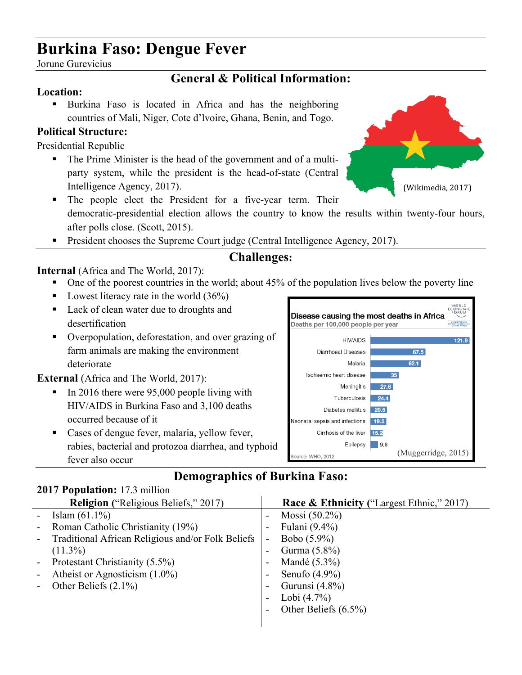# **Burkina Faso: Dengue Fever**

Jorune Gurevicius

### **General & Political Information:**

#### **Location:**

! Burkina Faso is located in Africa and has the neighboring countries of Mali, Niger, Cote d'lvoire, Ghana, Benin, and Togo.

#### **Political Structure:**

Presidential Republic

! The Prime Minister is the head of the government and of a multiparty system, while the president is the head-of-state (Central Intelligence Agency, 2017).



- ! The people elect the President for a five-year term. Their democratic-presidential election allows the country to know the results within twenty-four hours, after polls close. (Scott, 2015).
- ! President chooses the Supreme Court judge (Central Intelligence Agency, 2017).

### **Challenges:**

#### **Internal** (Africa and The World, 2017):

- One of the poorest countries in the world; about 45% of the population lives below the poverty line
- Lowest literacy rate in the world  $(36%)$
- ! Lack of clean water due to droughts and desertification
- ! Overpopulation, deforestation, and over grazing of farm animals are making the environment deteriorate

#### **External** (Africa and The World, 2017):

- In 2016 there were 95,000 people living with HIV/AIDS in Burkina Faso and 3,100 deaths occurred because of it
- ! Cases of dengue fever, malaria, yellow fever, rabies, bacterial and protozoa diarrhea, and typhoid fever also occur



## **Demographics of Burkina Faso:**

#### **2017 Population:** 17.3 million

|                          | <b>Religion</b> ("Religious Beliefs," 2017)       |                          | <b>Race &amp; Ethnicity</b> ("Largest Ethnic," 2017) |
|--------------------------|---------------------------------------------------|--------------------------|------------------------------------------------------|
|                          | Islam $(61.1\%)$                                  | -                        | Mossi $(50.2\%)$                                     |
| $\overline{\phantom{a}}$ | Roman Catholic Christianity (19%)                 |                          | Fulani (9.4%)                                        |
| $\blacksquare$           | Traditional African Religious and/or Folk Beliefs | $\overline{\phantom{a}}$ | Bobo (5.9%)                                          |
|                          | $(11.3\%)$                                        | $\overline{\phantom{0}}$ | Gurma $(5.8\%)$                                      |
| $\blacksquare$           | Protestant Christianity (5.5%)                    | $\overline{\phantom{a}}$ | Mandé $(5.3\%)$                                      |
| $\blacksquare$           | Atheist or Agnosticism (1.0%)                     | $\overline{\phantom{0}}$ | Senufo $(4.9\%)$                                     |
|                          | Other Beliefs $(2.1\%)$                           | -                        | Gurunsi $(4.8\%)$                                    |
|                          |                                                   | $\overline{\phantom{a}}$ | Lobi $(4.7\%)$                                       |
|                          |                                                   |                          | Other Beliefs $(6.5\%)$                              |
|                          |                                                   |                          |                                                      |